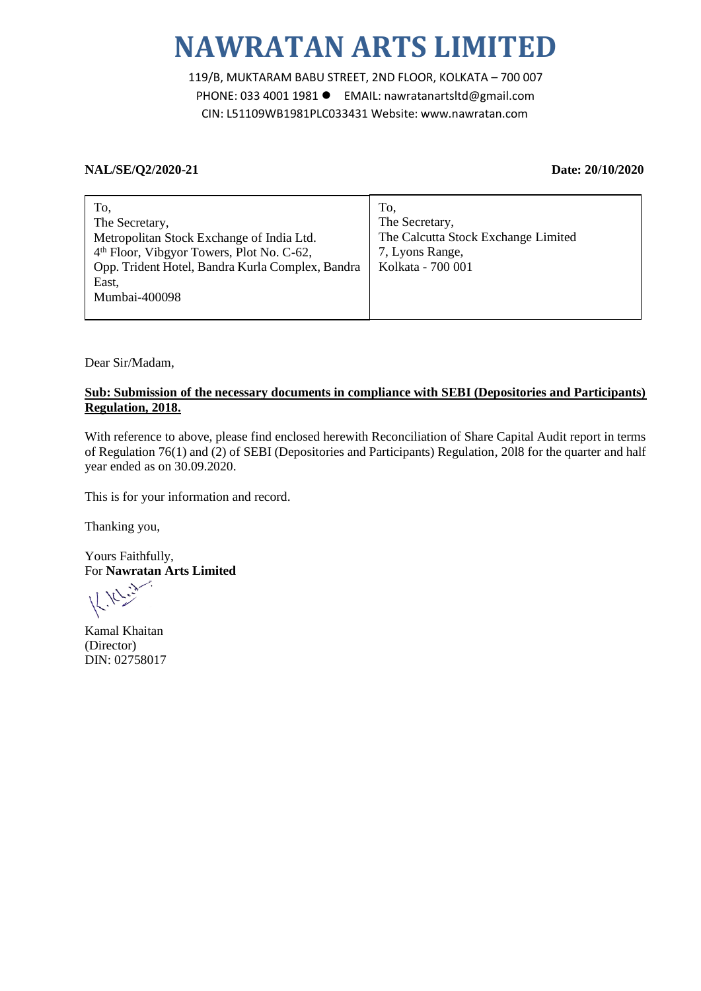# **NAWRATAN ARTS LIMITED**

119/B, MUKTARAM BABU STREET, 2ND FLOOR, KOLKATA – 700 007 PHONE: 033 4001 1981 EMAIL: nawratanartsltd@gmail.com CIN: L51109WB1981PLC033431 Website: www.nawratan.com

#### **NAL/SE/Q2/2020-21 Date: 20/10/2020**

| To,                                                   | To,                                 |
|-------------------------------------------------------|-------------------------------------|
| The Secretary,                                        | The Secretary,                      |
| Metropolitan Stock Exchange of India Ltd.             | The Calcutta Stock Exchange Limited |
| 4 <sup>th</sup> Floor, Vibgyor Towers, Plot No. C-62, | 7, Lyons Range,                     |
| Opp. Trident Hotel, Bandra Kurla Complex, Bandra      | Kolkata - 700 001                   |
| East,                                                 |                                     |
| Mumbai-400098                                         |                                     |
|                                                       |                                     |

Dear Sir/Madam,

### **Sub: Submission of the necessary documents in compliance with SEBI (Depositories and Participants) Regulation, 2018.**

With reference to above, please find enclosed herewith Reconciliation of Share Capital Audit report in terms of Regulation 76(1) and (2) of SEBI (Depositories and Participants) Regulation, 20l8 for the quarter and half year ended as on 30.09.2020.

This is for your information and record.

Thanking you,

Yours Faithfully, For **Nawratan Arts Limited** 

Kamal Khaitan (Director) DIN: 02758017